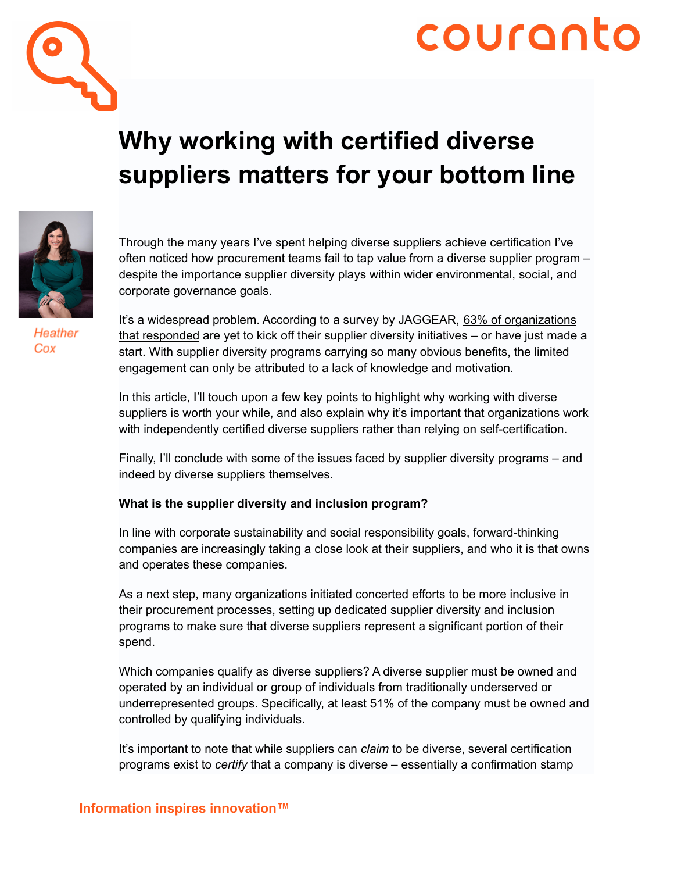

# couranto

## **Why working with certified diverse suppliers matters for your bottom line**



Heather Cox

Through the many years I've spent helping diverse suppliers achieve certification I've often noticed how procurement teams fail to tap value from a diverse supplier program – despite the importance supplier diversity plays within wider environmental, social, and corporate governance goals.

It's a widespread problem. According to a survey by JAGGEAR, 63% of [organizations](https://www.jaggaer.com/blog/supplier-diversity-statistics/) that [responded](https://www.jaggaer.com/blog/supplier-diversity-statistics/) are yet to kick off their supplier diversity initiatives – or have just made a start. With supplier diversity programs carrying so many obvious benefits, the limited engagement can only be attributed to a lack of knowledge and motivation.

In this article, I'll touch upon a few key points to highlight why working with diverse suppliers is worth your while, and also explain why it's important that organizations work with independently certified diverse suppliers rather than relying on self-certification.

Finally, I'll conclude with some of the issues faced by supplier diversity programs – and indeed by diverse suppliers themselves.

### **What is the supplier diversity and inclusion program?**

In line with corporate sustainability and social responsibility goals, forward-thinking companies are increasingly taking a close look at their suppliers, and who it is that owns and operates these companies.

As a next step, many organizations initiated concerted efforts to be more inclusive in their procurement processes, setting up dedicated supplier diversity and inclusion programs to make sure that diverse suppliers represent a significant portion of their spend.

Which companies qualify as diverse suppliers? A diverse supplier must be owned and operated by an individual or group of individuals from traditionally underserved or underrepresented groups. Specifically, at least 51% of the company must be owned and controlled by qualifying individuals.

It's important to note that while suppliers can *claim* to be diverse, several certification programs exist to *certify* that a company is diverse – essentially a confirmation stamp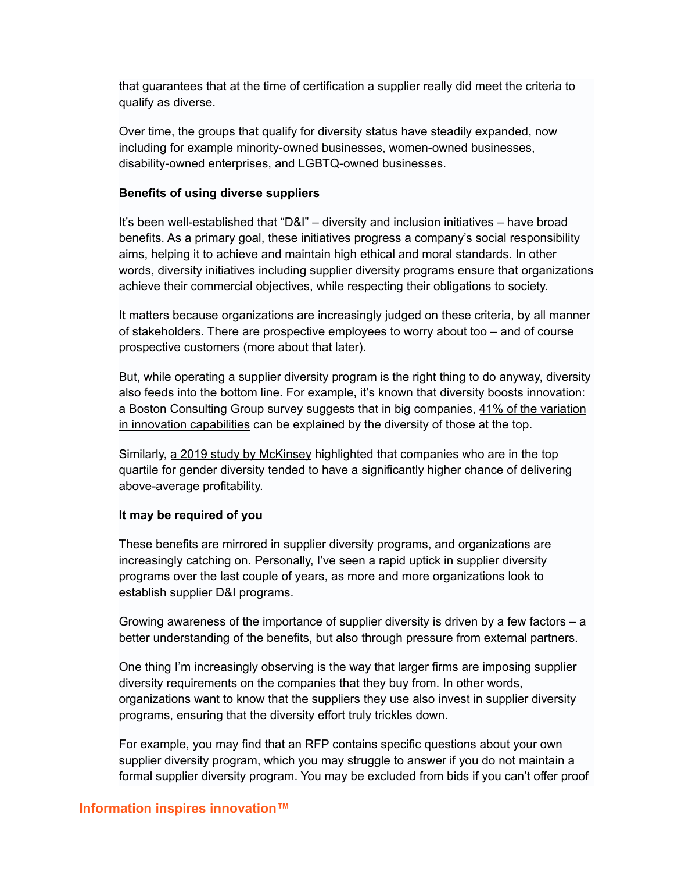that guarantees that at the time of certification a supplier really did meet the criteria to qualify as diverse.

Over time, the groups that qualify for diversity status have steadily expanded, now including for example minority-owned businesses, women-owned businesses, disability-owned enterprises, and LGBTQ-owned businesses.

#### **Benefits of using diverse suppliers**

It's been well-established that "D&I" – diversity and inclusion initiatives – have broad benefits. As a primary goal, these initiatives progress a company's social responsibility aims, helping it to achieve and maintain high ethical and moral standards. In other words, diversity initiatives including supplier diversity programs ensure that organizations achieve their commercial objectives, while respecting their obligations to society.

It matters because organizations are increasingly judged on these criteria, by all manner of stakeholders. There are prospective employees to worry about too – and of course prospective customers (more about that later).

But, while operating a supplier diversity program is the right thing to do anyway, diversity also feeds into the bottom line. For example, it's known that diversity boosts innovation: a Boston Consulting Group survey suggests that in big companies, 41% of the [variation](https://www.bcg.com/en-us/publications/2017/people-organization-leadership-talent-innovation-through-diversity-mix-that-matters) in innovation [capabilities](https://www.bcg.com/en-us/publications/2017/people-organization-leadership-talent-innovation-through-diversity-mix-that-matters) can be explained by the diversity of those at the top.

Similarly, a 2019 study by [McKinsey](https://www.mckinsey.com/featured-insights/diversity-and-inclusion/diversity-wins-how-inclusion-matters) highlighted that companies who are in the top quartile for gender diversity tended to have a significantly higher chance of delivering above-average profitability.

#### **It may be required of you**

These benefits are mirrored in supplier diversity programs, and organizations are increasingly catching on. Personally, I've seen a rapid uptick in supplier diversity programs over the last couple of years, as more and more organizations look to establish supplier D&I programs.

Growing awareness of the importance of supplier diversity is driven by a few factors – a better understanding of the benefits, but also through pressure from external partners.

One thing I'm increasingly observing is the way that larger firms are imposing supplier diversity requirements on the companies that they buy from. In other words, organizations want to know that the suppliers they use also invest in supplier diversity programs, ensuring that the diversity effort truly trickles down.

For example, you may find that an RFP contains specific questions about your own supplier diversity program, which you may struggle to answer if you do not maintain a formal supplier diversity program. You may be excluded from bids if you can't offer proof

#### **Information inspires innovation™**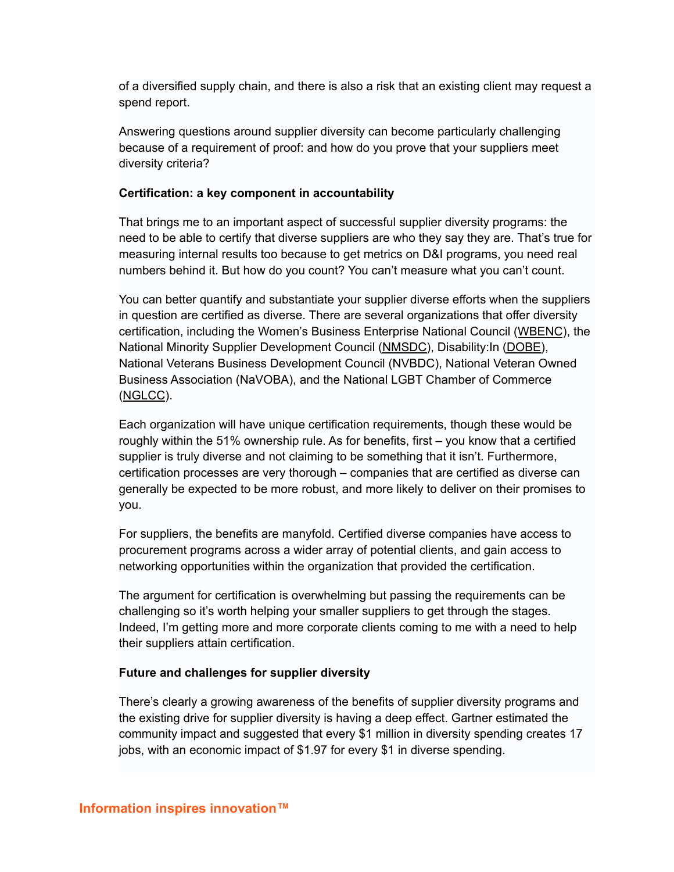of a diversified supply chain, and there is also a risk that an existing client may request a spend report.

Answering questions around supplier diversity can become particularly challenging because of a requirement of proof: and how do you prove that your suppliers meet diversity criteria?

#### **Certification: a key component in accountability**

That brings me to an important aspect of successful supplier diversity programs: the need to be able to certify that diverse suppliers are who they say they are. That's true for measuring internal results too because to get metrics on D&I programs, you need real numbers behind it. But how do you count? You can't measure what you can't count.

You can better quantify and substantiate your supplier diverse efforts when the suppliers in question are certified as diverse. There are several organizations that offer diversity certification, including the Women's Business Enterprise National Council ([WBENC](https://www.wbenc.org/)), the National Minority Supplier Development Council [\(NMSDC\)](https://nmsdc.org/), Disability:In [\(DOBE\)](https://disabilityin.org/), National Veterans Business Development Council (NVBDC), National Veteran Owned Business Association (NaVOBA), and the National LGBT Chamber of Commerce ([NGLCC](https://www.nglcc.org/)).

Each organization will have unique certification requirements, though these would be roughly within the 51% ownership rule. As for benefits, first – you know that a certified supplier is truly diverse and not claiming to be something that it isn't. Furthermore, certification processes are very thorough – companies that are certified as diverse can generally be expected to be more robust, and more likely to deliver on their promises to you.

For suppliers, the benefits are manyfold. Certified diverse companies have access to procurement programs across a wider array of potential clients, and gain access to networking opportunities within the organization that provided the certification.

The argument for certification is overwhelming but passing the requirements can be challenging so it's worth helping your smaller suppliers to get through the stages. Indeed, I'm getting more and more corporate clients coming to me with a need to help their suppliers attain certification.

#### **Future and challenges for supplier diversity**

There's clearly a growing awareness of the benefits of supplier diversity programs and the existing drive for supplier diversity is having a deep effect. Gartner estimated the community impact and suggested that every \$1 million in diversity spending creates 17 jobs, with an economic impact of \$1.97 for every \$1 in diverse spending.